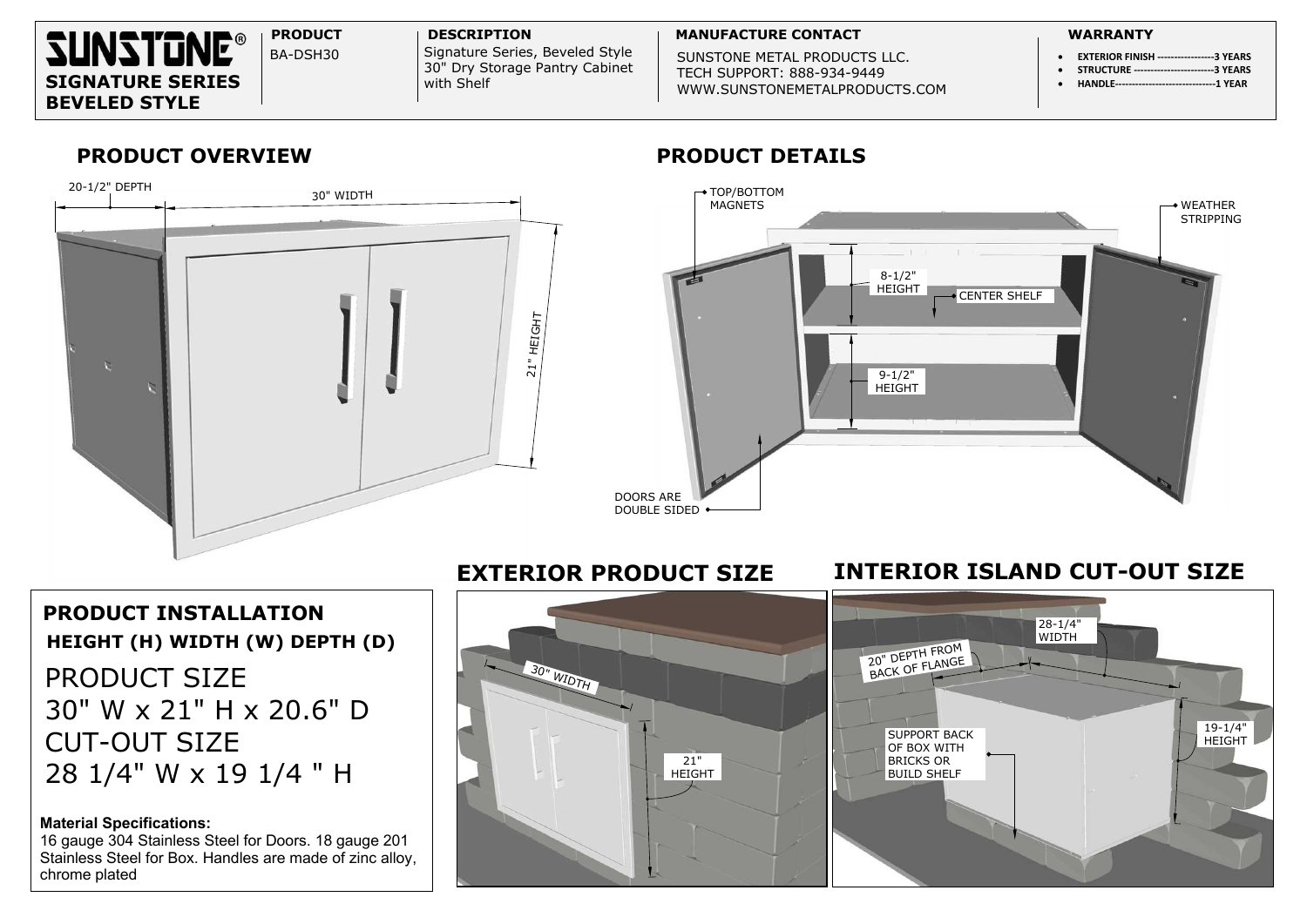SUNSTONE METAL PRODUCTS LLC. **SIGNATURE SERIES** With Shelf With Shelf With Shelf WWW.SUNSTONEMETALPRODUCTS.COM

- � **EXTERIOR FINISH -----------------3 YEARS**
- � **STRUCTURE ------------------------3 YEARS** �**HANDLE------------------------------1 YEAR**



BA-DSH30 | Signature Series, Beveled Style 30" Dry Storage Pantry Cabinet with Shelf

## **PRODUCT OVERVIEW PRODUCT DETAILS**

# **PRODUCT INSTALLATION** PRODUCT SIZE 30" W x 21" H x 20.6" D CUT-OUT SIZE 28 1/4" W <sup>x</sup> 19 1/4 " H **HEIGHT (H) WIDTH (W) DEPTH (D)**

### **Material Specifications:**

16 gauge 304 Stainless Steel for Doors. 18 gauge 201 Stainless Steel for Box. Handles are made of zinc alloy, chrome plated





## **EXTERIOR PRODUCT SIZE INTERIOR ISLAND CUT-OUT SIZE**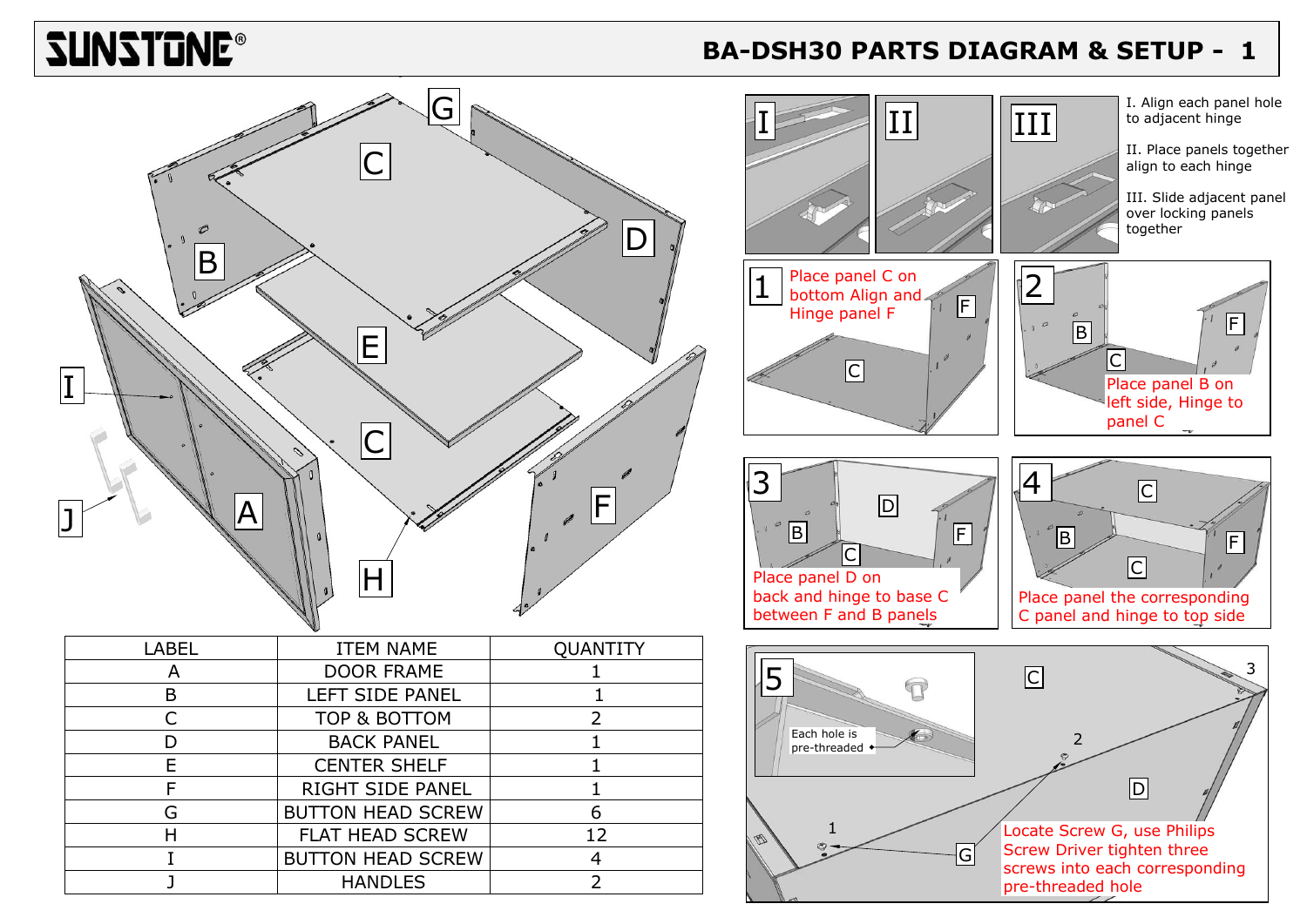# **ZUNZIQUE®**

### **B BA-DSH30 PARTS DIAGRAM & SETUP - 1**

| LABEL | <b>ITEM NAME</b>         | <b>QUANTITY</b> |
|-------|--------------------------|-----------------|
|       | <b>DOOR FRAME</b>        |                 |
|       | LEFT SIDE PANEL          |                 |
|       | TOP & BOTTOM             |                 |
|       | <b>BACK PANEL</b>        |                 |
|       | <b>CENTER SHELF</b>      |                 |
|       | <b>RIGHT SIDE PANEL</b>  |                 |
| G     | <b>BUTTON HEAD SCREW</b> |                 |
|       | <b>FLAT HEAD SCREW</b>   | 12              |
|       | <b>BUTTON HEAD SCREW</b> |                 |
|       | <b>HANDLES</b>           |                 |